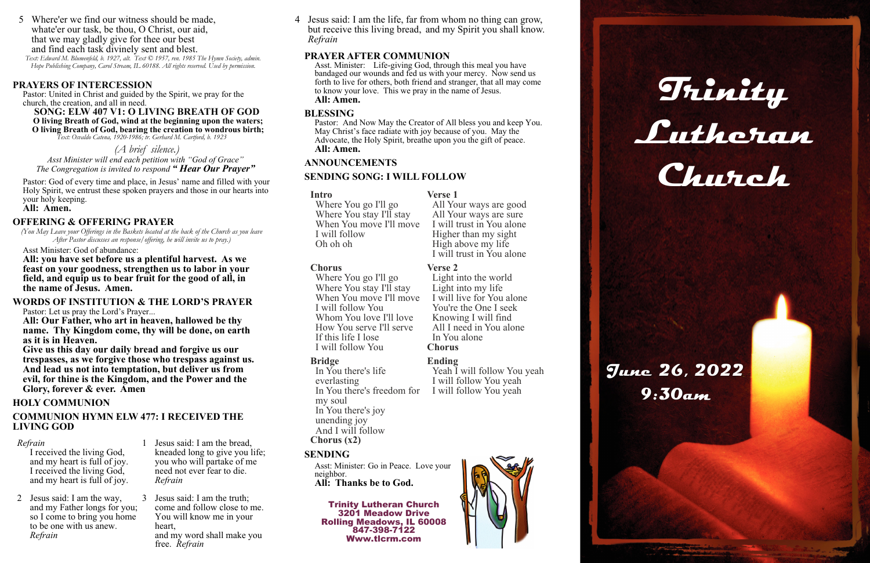### **PRAYERS OF INTERCESSION**

Pastor: United in Christ and guided by the Spirit, we pray for the church, the creation, and all in need.

**SONG: ELW 407 V1: O LIVING BREATH OF GOD O living Breath of God, wind at the beginning upon the waters; O living Breath of God, bearing the creation to wondrous birth;**  *Text: Osvaldo Catena, 1920-1986; tr. Gerhard M. Cartford, b. 1923* 

### *(A brief silence.)*

*Asst Minister will end each petition with "God of Grace" The Congregation is invited to respond " Hear Our Prayer"*

Pastor: God of every time and place, in Jesus' name and filled with your Holy Spirit, we entrust these spoken prayers and those in our hearts into your holy keeping.

### **All: Amen.**

### **OFFERING & OFFERING PRAYER**

*(You May Leave your Offerings in the Baskets located at the back of the Church as you leave After Pastor discusses an response/offering, he will invite us to pray.)* 

Asst Minister: God of abundance:

**All: you have set before us a plentiful harvest. As we feast on your goodness, strengthen us to labor in your field, and equip us to bear fruit for the good of all, in the name of Jesus. Amen.** 

### **WORDS OF INSTITUTION & THE LORD'S PRAYER**

Pastor: Let us pray the Lord's Prayer...

**All: Our Father, who art in heaven, hallowed be thy name. Thy Kingdom come, thy will be done, on earth as it is in Heaven.** 

**Give us this day our daily bread and forgive us our trespasses, as we forgive those who trespass against us. And lead us not into temptation, but deliver us from evil, for thine is the Kingdom, and the Power and the Glory, forever & ever. Amen** 

### **HOLY COMMUNION**

### **COMMUNION HYMN ELW 477: I RECEIVED THE LIVING GOD**

### **PRAYER AFTER COMMUNION**

Asst. Minister: Life-giving God, through this meal you have bandaged our wounds and fed us with your mercy. Now send us forth to live for others, both friend and stranger, that all may come to know your love. This we pray in the name of Jesus. **All: Amen.** 

> Yeah I will follow You yeah I will follow You yeah I will follow You yeah





### **BLESSING**

Pastor: And Now May the Creator of All bless you and keep You. May Christ's face radiate with joy because of you. May the Advocate, the Holy Spirit, breathe upon you the gift of peace. **All: Amen.** 

### **ANNOUNCEMENTS**

### **SENDING SONG: I WILL FOLLOW**

### **SENDING**

Asst: Minister: Go in Peace. Love your neighbor. **All: Thanks be to God.** 

Trinity Lutheran Church 3201 Meadow Drive Rolling Meadows, IL 60008 847-398-7122 Www.tlcrm.com

### *Refrain*

 I received the living God, and my heart is full of joy. I received the living God, and my heart is full of joy. 1 Jesus said: I am the bread, kneaded long to give you life; you who will partake of me need not ever fear to die. *Refrain*

2 Jesus said: I am the way, and my Father longs for you; so I come to bring you home to be one with us anew. *Refrain*

3 Jesus said: I am the truth; come and follow close to me. You will know me in your heart, and my word shall make you free. *Refrain*



### **Intro**

Where You go I'll go Where You stay I'll stay When You move I'll move I will follow Oh oh oh

**Verse 1** 

All Your ways are good All Your ways are sure I will trust in You alone Higher than my sight High above my life I will trust in You alone

**Chorus** 

Where You go I'll go Where You stay I'll stay When You move I'll move I will follow You Whom You love I'll love How You serve I'll serve If this life I lose I will follow You

# **Verse 2** Light into the world Light into my life I will live for You alone You're the One I seek

Knowing I will find All I need in You alone In You alone **Chorus**

### **Bridge**

In You there's life everlasting In You there's freedom for my soul In You there's joy unending joy And I will follow **Chorus (x2)**

### **Ending**

4 Jesus said: I am the life, far from whom no thing can grow, but receive this living bread, and my Spirit you shall know. *Refrain* 

5 Where'er we find our witness should be made, whate'er our task, be thou, O Christ, our aid, that we may gladly give for thee our best and find each task divinely sent and blest. *Text: Edward M. Blumenfeld, b. 1927, alt. Text © 1957, ren. 1985 The Hymn Society, admin.* 

*Hope Publishing Company, Carol Stream, IL 60188. All rights reserved. Used by permission.*